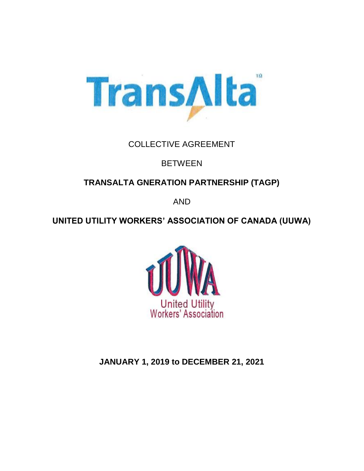

# COLLECTIVE AGREEMENT

# **BETWEEN**

# **TRANSALTA GNERATION PARTNERSHIP (TAGP)**

AND

# **UNITED UTILITY WORKERS' ASSOCIATION OF CANADA (UUWA)**



**JANUARY 1, 2019 to DECEMBER 21, 2021**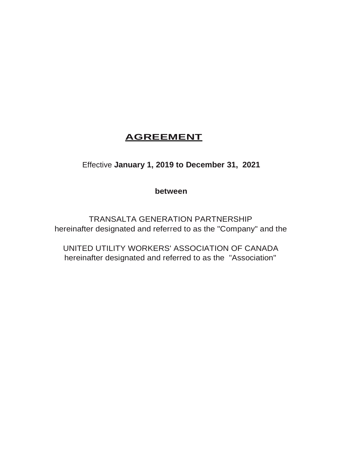# **AGREEMENT**

Effective **January 1, 2019 to December 31, 2021**

**between**

TRANSALTA GENERATION PARTNERSHIP hereinafter designated and referred to as the "Company" and the

UNITED UTILITY WORKERS' ASSOCIATION OF CANADA hereinafter designated and referred to as the "Association"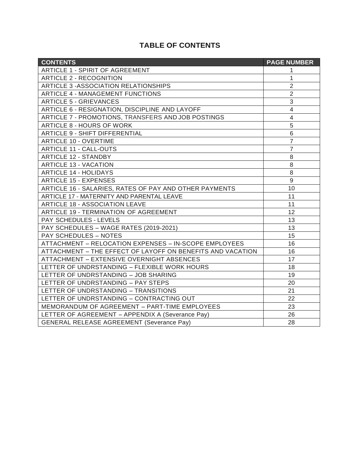# **TABLE OF CONTENTS**

| <b>CONTENTS</b>                                            | <b>PAGE NUMBER</b>       |
|------------------------------------------------------------|--------------------------|
| ARTICLE 1 - SPIRIT OF AGREEMENT                            | 1                        |
| <b>ARTICLE 2 - RECOGNITION</b>                             | 1                        |
| <b>ARTICLE 3 -ASSOCIATION RELATIONSHIPS</b>                | $\overline{2}$           |
| <b>ARTICLE 4 - MANAGEMENT FUNCTIONS</b>                    | $\overline{2}$           |
| <b>ARTICLE 5 - GRIEVANCES</b>                              | $\mathfrak{S}$           |
| ARTICLE 6 - RESIGNATION, DISCIPLINE AND LAYOFF             | $\overline{\mathcal{A}}$ |
| ARTICLE 7 - PROMOTIONS, TRANSFERS AND JOB POSTINGS         | $\overline{4}$           |
| <b>ARTICLE 8 - HOURS OF WORK</b>                           | 5                        |
| <b>ARTICLE 9 - SHIFT DIFFERENTIAL</b>                      | $\,6\,$                  |
| <b>ARTICLE 10 - OVERTIME</b>                               | $\overline{7}$           |
| <b>ARTICLE 11 - CALL-OUTS</b>                              | $\overline{7}$           |
| <b>ARTICLE 12 - STANDBY</b>                                | 8                        |
| <b>ARTICLE 13 - VACATION</b>                               | 8                        |
| <b>ARTICLE 14 - HOLIDAYS</b>                               | 8                        |
| <b>ARTICLE 15 - EXPENSES</b>                               | $\mathsf g$              |
| ARTICLE 16 - SALARIES, RATES OF PAY AND OTHER PAYMENTS     | 10                       |
| ARTICLE 17 - MATERNITY AND PARENTAL LEAVE                  | 11                       |
| <b>ARTICLE 18 - ASSOCIATION LEAVE</b>                      | 11                       |
| ARTICLE 19 - TERMINATION OF AGREEMENT                      | 12                       |
| PAY SCHEDULES - LEVELS                                     | 13                       |
| PAY SCHEDULES - WAGE RATES (2019-2021)                     | 13                       |
| <b>PAY SCHEDULES - NOTES</b>                               | 15                       |
| ATTACHMENT - RELOCATION EXPENSES - IN-SCOPE EMPLOYEES      | 16                       |
| ATTACHMENT - THE EFFECT OF LAYOFF ON BENEFITS AND VACATION | 16                       |
| <b>ATTACHMENT - EXTENSIVE OVERNIGHT ABSENCES</b>           | 17                       |
| LETTER OF UNDRSTANDING - FLEXIBLE WORK HOURS               | 18                       |
| LETTER OF UNDRSTANDING - JOB SHARING                       | 19                       |
| LETTER OF UNDRSTANDING - PAY STEPS                         | 20                       |
| LETTER OF UNDRSTANDING - TRANSITIONS                       | 21                       |
| LETTER OF UNDRSTANDING - CONTRACTING OUT                   | 22                       |
| MEMORANDUM OF AGREEMENT - PART-TIME EMPLOYEES              | 23                       |
| LETTER OF AGREEMENT - APPENDIX A (Severance Pay)           | 26                       |
| <b>GENERAL RELEASE AGREEMENT (Severance Pay)</b>           | 28                       |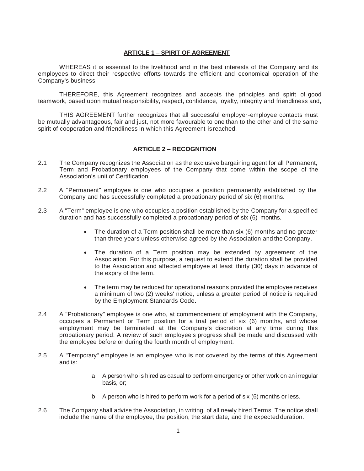# **ARTICLE 1 – SPIRIT OF AGREEMENT**

WHEREAS it is essential to the livelihood and in the best interests of the Company and its employees to direct their respective efforts towards the efficient and economical operation of the Company's business,

THEREFORE, this Agreement recognizes and accepts the principles and spirit of.good teamwork, based upon mutual responsibility, respect, confidence, loyalty, integrity and friendliness and,

THIS AGREEMENT further recognizes that all successful employer-employee contacts must be mutually advantageous, fair and just, not more favourable to one than to the other and of the same spirit of cooperation and friendliness in which this Agreement isreached.

#### **ARTICLE 2 – RECOGNITION**

- 2.1 The Company recognizes the Association as the exclusive bargaining agent for all Permanent, Term and Probationary employees of the Company that come within the scope of the Association's unit of Certification.
- 2.2 A "Permanent" employee is one who occupies a position permanently established by the Company and has successfully completed a probationary period of six (6) months.
- 2.3 A "Term" employee is one who occupies a position established by the Company for a specified duration and has successfully completed a probationary period of six (6) months.
	- The duration of a Term position shall be more than six (6) months and no greater than three years unless otherwise agreed by the Association and the Company.
	- The duration of a Term position may be extended by agreement of the Association. For this purpose, a request to extend the duration shall be provided to the Association and affected employee at least thirty (30) days in advance of the expiry of the term.
	- The term may be reduced for operational reasons provided the employee receives a minimum of two (2) weeks' notice, unless a greater period of notice is required by the Employment Standards Code.
- 2.4 A "Probationary" employee is one who, at commencement of employment with the Company, occupies a Permanent or Term position for a trial period of six (6) months, and whose employment may be terminated at the Company's discretion at any time during this probationary period. A review of such employee's progress shall be made and discussed with the employee before or during the fourth month of employment.
- 2.5 A "Temporary" employee is an employee who is not covered by the terms of this Agreement and is:
	- a. A person who is hired as casual to perform emergency or other work on an irregular basis, or;
	- b. A person who is hired to perform work for a period of six (6) months or less.
- 2.6 The Company shall advise the Association, in writing, of all newly hired Terms. The notice shall include the name of the employee, the position, the start date, and the expected duration.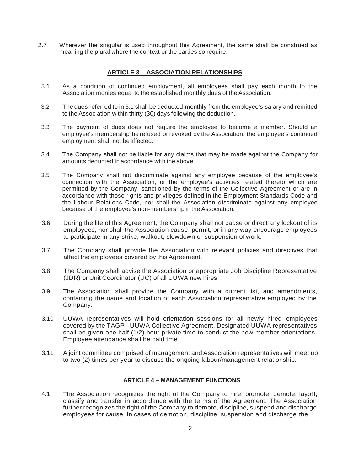2.7 Wherever the singular is used throughout this Agreement, the same shall be construed as meaning the plural where the context or the parties so require.

# **ARTICLE 3 – ASSOCIATION RELATIONSHIPS**

- 3.1 As a condition of continued employment, all employees shall pay each month to the Association monies equal to the established monthly dues of the Association.
- 3.2 The dues referred to in 3.1 shall be deducted monthly from the employee's salary and remitted to the Association within thirty (30) days following the deduction.
- 3.3 The payment of dues does not require the employee to become a member. Should an employee's membership be refused or revoked by the Association, the employee's continued employment shall not beaffected.
- 3.4 The Company shall not be liable for any claims that may be made against the Company for amounts deducted in accordance with the above.
- 3.5 The Company shall not discriminate against any employee because of the employee's connection with the Association, or the employee's activities related thereto which are permitted by the Company, sanctioned by the terms of the Collective Agreement or are in accordance with those rights and privileges defined in the Employment Standards Code and the Labour Relations Code, nor shall the Association discriminate against any employee because of the employee's non-membership in the Association.
- 3.6 During the life of this Agreement, the Company shall not cause or direct any lockout of its employees, nor shall the Association cause, permit, or in any way encourage employees to participate in any strike, walkout, slowdown or suspension of work.
- 3.7 The Company shall provide the Association with relevant policies and directives that affect the employees covered by this Agreement.
- 3.8 The Company shall advise the Association or appropriate Job Discipline Representative (JDR) or Unit Coordinator (UC) of all UUWA new hires.
- 3.9 The Association shall provide the Company with a current list, and amendments, containing the name and location of each Association representative employed by the Company.
- 3.10 UUWA representatives will hold orientation sessions for all newly hired employees covered by the TAGP - UUWA Collective Agreement. Designated UUWA representatives shall be given one half (1/2) hour private time to conduct the new member orientations . Employee attendance shall be paid time.
- 3.11 A joint committee comprised of management and Association representatives will meet up to two (2) times per year to discuss the ongoing labour/management relationship.

# **ARTICLE 4 – MANAGEMENT FUNCTIONS**

4.1 The Association recognizes the right of the Company to hire, promote, demote, layoff, classify and transfer in accordance with the terms of the Agreement. The Association further recognizes the right of the Company to demote, discipline, suspend and discharge employees for cause. In cases of demotion, discipline, suspension and discharge the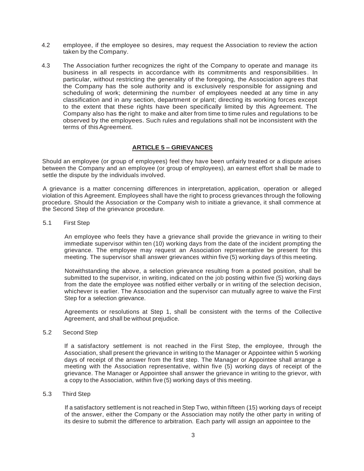- 4.2 employee, if the employee so desires, may request the Association to review the action taken by the Company.
- 4.3 The Association further recognizes the right of the Company to operate and manage its business in all respects in accordance with its commitments and responsibilities . In particular, without restricting the generality of the foregoing, the Association agrees that the Company has the sole authority and is exclusively responsible for assigning and scheduling of work; determining the number of employees needed at any time in any classification and in any section, department or plant; directing its working forces except to the extent that these rights have been specifically limited by this Agreement. The Company also has the right to make and alter from time to time rules and regulations to be observed by the employees. Such rules and regulations shall not be inconsistent with the terms of this Agreement.

# **ARTICLE 5 – GRIEVANCES**

Should an employee (or group of employees) feel they have been unfairly treated or a dispute arises between the Company and an employee (or group of employees), an earnest effort shall be made to settle the dispute by the individuals involved.

A grievance is a matter concerning differences in interpretation, application, operation or alleged violation of this Agreement. Employees shall have the right to process grievances through the following procedure. Should the Association or the Company wish to initiate a grievance, it shall commence at the Second Step of the grievance procedure.

5.1 First Step

An employee who feels they have a grievance shall provide the grievance in writing to their immediate supervisor within ten (10) working days from the date of the incident prompting the grievance. The employee may request an Association representative be present for this meeting. The supervisor shall answer grievances within five (5) working days of this meeting.

Notwithstanding the above, a selection grievance resulting from a posted position, shall be submitted to the supervisor, in writing, indicated on the job posting within five (5) working days from the date the employee was notified either verbally or in writing of the selection decision, whichever is earlier. The Association and the supervisor can mutually agree to waive the First Step for a selection grievance.

Agreements or resolutions at Step 1, shall be consistent with the terms of the Collective Agreement, and shall be without prejudice.

5.2 Second Step

If a satisfactory settlement is not reached in the First Step, the employee, through the Association, shall present the grievance in writing to the Manager or Appointee within 5 working days of receipt of the answer from the first step. The Manager or Appointee shall arrange a meeting with the Association representative, within five (5) working days of receipt of the grievance. The Manager or Appointee shall answer the grievance in writing to the grievor, with a copy to the Association, within five (5) working days of this meeting.

#### 5.3 Third Step

If a satisfactory settlement is not reached in Step Two, within fifteen (15) working days of receipt of the answer, either the Company or the Association may notify the other party in writing of its desire to submit the difference to arbitration. Each party will assign an appointee to the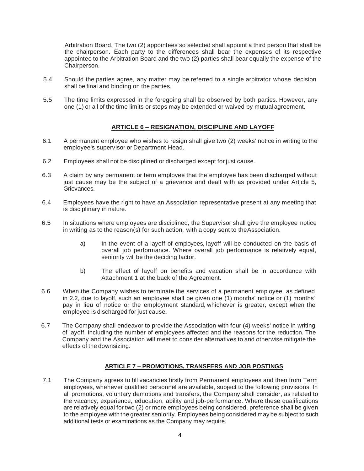Arbitration Board. The two (2) appointees so selected shall appoint a third person that shall be the chairperson. Each party to the differences shall bear the expenses of its respective appointee to the Arbitration Board and the two (2) parties shall bear equally the expense of the Chairperson.

- 5.4 Should the parties agree, any matter may be referred to a single arbitrator whose decision shall be final and binding on the parties.
- 5.5 The time limits expressed in the foregoing shall be observed by both parties. However, any one (1) or all of the time limits or steps may be extended or waived by mutual agreement.

# **ARTICLE 6 – RESIGNATION, DISCIPLINE AND LAYOFF**

- <span id="page-6-0"></span>6.1 A permanent employee who wishes to resign shall give two (2) weeks' notice in writing to the employee's supervisor or Department Head.
- 6.2 Employees shall not be disciplined or discharged except for just cause.
- 6.3 A claim by any permanent or term employee that the employee has been discharged without just cause may be the subject of a grievance and dealt with as provided under Article 5, Grievances.
- 6.4 Employees have the right to have an Association representative present at any meeting that is disciplinary in nature.
- 6.5 In situations where employees are disciplined, the Supervisor shall give the employee notice in writing as to the reason(s) for such action, with a copy sent to theAssociation.
	- a) In the event of a layoff of employees, layoff will be conducted on the basis of overall job performance. Where overall job performance is relatively equal, seniority will be the deciding factor.
	- b) The effect of layoff on benefits and vacation shall be in accordance with Attachment 1 at the back of the Agreement.
- 6.6 When the Company wishes to terminate the services of a permanent employee, as defined in 2.2, due to layoff, such an employee shall be given one (1) months' notice or (1) months' pay in lieu of notice or the employment standard, whichever is greater, except when the employee is discharged for just cause.
- 6.7 The Company shall endeavor to provide the Association with four (4) weeks' notice in writing of layoff, including the number of employees affected and the reasons for the reduction. The Company and the Association will meet to consider alternatives to and otherwise mitigate the effects of the downsizing.

# **ARTICLE 7 – PROMOTIONS, TRANSFERS AND JOB POSTINGS**

<span id="page-6-1"></span>7.1 The Company agrees to fill vacancies firstly from Permanent employees and then from Term employees, whenever qualified personnel are available, subject to the following provisions. In all promotions, voluntary demotions and transfers, the Company shall consider, as related to the vacancy, experience, education, ability and job-performance. Where these qualifications are relatively equal for two (2) or more employees being considered, preference shall be given to the employee with the greater seniority. Employees being considered may be subject to such additional tests or examinations as the Company may require.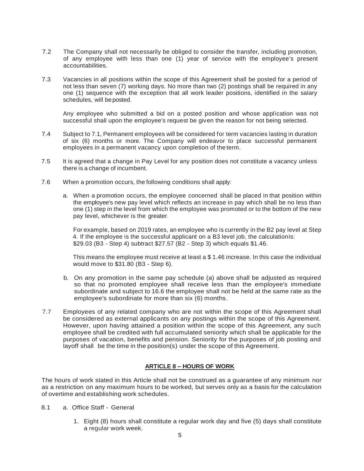- 7.2 The Company shall not necessarily be obliged to consider the transfer, including promotion, of any employee with less than one (1) year of service with the employee's present accountabilities.
- 7.3 Vacancies in all positions within the scope of this Agreement shall be posted for a period of not less than seven (7) working days. No more than two (2) postings shall be required in any one (1) sequence with the exception that all work leader positions, identified in the salary schedules, will beposted.

Any employee who submitted a bid on a posted position and whose application was not successful shall upon the employee's request be given the reason for not being selected.

- 7.4 Subject to 7.1, Permanent employees will be considered for term vacancies lasting in duration of six (6) months or more. The Company will endeavor to place successful permanent employees in a permanent vacancy upon completion of the term.
- 7.5 It is agreed that a change in Pay Level for any position does not constitute a vacancy unless there is a change of incumbent.
- 7.6 When a promotion occurs, the following conditions shall apply:
	- a. When a promotion occurs, the employee concerned shall be placed in that position within the employee's new pay level which reflects an increase in pay which shall be no less than one (1) step in the level from which the employee was promoted or to the bottom of the new pay level, whichever is the greater.

For example, based on 2019 rates, an employee who is currently in the B2 pay level at Step 4. If the employee is the successful applicant on a B3 level job, the calculationis: \$29.03 (B3 - Step 4) subtract \$27.57 (B2 - Step 3) which equals \$1.46.

This means the employee must receive at least a \$ 1.46 increase. In this case the individual would move to \$31.80 (B3 - Step 6).

- b. On any promotion in the same pay schedule (a) above shall be adjusted as required so that no promoted employee shall receive less than the employee's immediate subordinate and subject to 16.6 the employee shall not be held at the same rate as the employee's subordinate for more than six (6) months.
- 7.7 Employees of any related company who are not within the scope of this Agreement shall be considered as external applicants on any postings within the scope of this Agreement. However, upon having attained a position within the scope of this Agreement, any such employee shall be credited with full accumulated seniority which shall be applicable for the purposes of vacation, benefits and pension. Seniority for the purposes of job posting and layoff shall be the time in the position(s) under the scope of this Agreement.

# **ARTICLE 8 – HOURS OF WORK**

The hours of work stated in this Article shall not be construed as a guarantee of any minimum nor as a restriction on any maximum hours to be worked, but serves only as a basis for the calculation of overtime and establishing work schedules.

- 8.1 a. Office Staff General
	- 1. Eight (8) hours shall constitute a regular work day and five (5) days shall constitute a regular work week.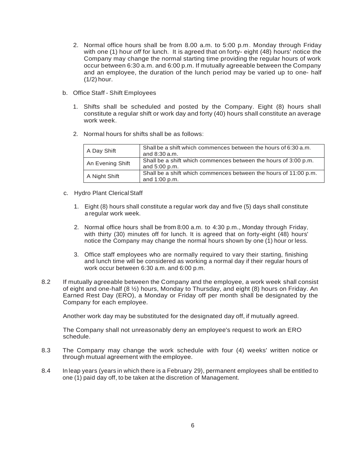- 2. Normal office hours shall be from 8.00 a.m. to 5:00 p.m. Monday through Friday with one (1) hour *off* for lunch. It is agreed that on forty- eight (48) hours' notice the Company may change the normal starting time providing the regular hours of work occur between 6:30 a.m. and 6:00 p.m. If mutually agreeable between the Company and an employee, the duration of the lunch period may be varied up to one- half (1/2) hour.
- b. Office Staff Shift Employees
	- 1. Shifts shall be scheduled and posted by the Company. Eight (8) hours shall constitute a regular shift or work day and forty (40) hours shall constitute an average work week.
	- 2. Normal hours for shifts shall be as follows:

| A Day Shift      | Shall be a shift which commences between the hours of 6:30 a.m.<br>and $8:30$ a.m. |
|------------------|------------------------------------------------------------------------------------|
| An Evening Shift | Shall be a shift which commences between the hours of 3:00 p.m.<br>and $5:00$ p.m. |
| A Night Shift    | Shall be a shift which commences between the hours of 11:00 p.m.<br>and 1:00 p.m.  |

- c. Hydro Plant ClericalStaff
	- 1. Eight (8) hours shall constitute a regular work day and five (5) days shall constitute a regular work week.
	- 2. Normal office hours shall be from 8:00 a.m. to  $4:30$  p.m., Monday through Friday, with thirty (30) minutes off for lunch. It is agreed that on forty-eight (48) hours' notice the Company may change the normal hours shown by·one (1) hour or less.
	- 3. Office staff employees who are normally required to vary their starting, finishing and lunch time will be considered as working a normal day if their regular hours of work occur between 6:30 a.m. and 6:00 p.m.
- 8.2 If mutually agreeable between the Company and the employee, a work week shall consist of eight and one-half (8 ½) hours, Monday to Thursday, and eight (8) hours on Friday. An Earned Rest Day (ERO), a Monday or Friday off per month shall be designated by the Company for each employee.

Another work day may be substituted for the designated day off, if mutually agreed.

The Company shall not unreasonably deny an employee's request to work an ERO schedule.

- 8.3 The Company may change the work schedule with four (4) weeks' written notice or through mutual agreement with the employee.
- 8.4 In leap years (years in which there is a February 29), permanent employees shall be entitled to one (1) paid day off, to be taken at the discretion of Management.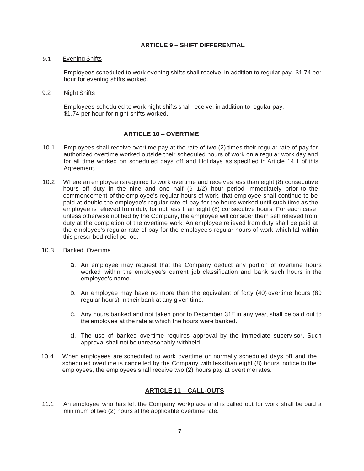# **ARTICLE 9 – SHIFT DIFFERENTIAL**

# 9.1 Evening Shifts

Employees scheduled to work evening shifts shall receive, in addition to regular pay, \$1.74 per hour for evening shifts worked.

#### 9.2 Night Shifts

Employees scheduled to work night shifts shall receive, in addition to regular pay, \$1.74 per hour for night shifts worked.

# **ARTICLE 10 – OVERTIME**

- 10.1 Employees shall receive overtime pay at the rate of two (2) times their regular rate of pay for authorized overtime worked outside their scheduled hours of work on a regular work day and for all time worked on scheduled days off and Holidays as specified in Article 14.1 of this Agreement.
- 10.2 Where an employee is required to work overtime and receives less than eight (8) consecutive hours off duty in the nine and one half (9 1/2) hour period immediately prior to the commencement of the employee's regular hours of work, that employee shall continue to be paid at double the employee's regular rate of pay for the hours worked until such time as the employee is relieved from duty for not less than eight (8) consecutive hours. For each case, unless otherwise notified by the Company, the employee will consider them self relieved from duty at the completion of the overtime work. An employee relieved from duty shall be paid at the employee's regular rate of pay for the employee's regular hours of work which fall within this prescribed relief period.
- 10.3 Banked Overtime
	- a. An employee may request that the Company deduct any portion of overtime hours worked within the employee's current job classification and bank such hours in the employee's name.
	- b. An employee may have no more than the equivalent of forty (40) overtime hours (80 regular hours) in their bank at any given time.
	- c. Any hours banked and not taken prior to December  $31<sup>st</sup>$  in any year, shall be paid out to the employee at the rate at which the hours were banked.
	- d. The use of banked overtime requires approval by the immediate supervisor. Such approval shall not be unreasonably withheld.
- 10.4 When employees are scheduled to work overtime on normally scheduled days off and the scheduled overtime is cancelled by the Company with less than eight (8) hours' notice to the employees, the employees shall receive two (2) hours pay at overtime rates.

# **ARTICLE 11 – CALL-OUTS**

11.1 An employee who has left the Company workplace and is called out for work shall be paid a minimum of two (2) hours at the applicable overtime rate.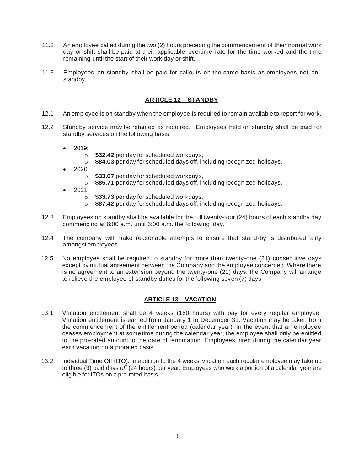- 11.2 An employee called during the two (2) hours preceding the commencement of their normal work day or shift shall be paid at their applicable overtime rate for the time worked and the time remaining until the start of their work day or shift.
- 11.3 Employees on standby shall be paid for callouts on the same basis as employees not on standby.

# **ARTICLE 12 – STANDBY**

- 12.1 An employee is on standby when the employee is required to remain availableto report for work.
- 12.2 Standby service may be retained as required. Employees held on standby shall be paid for standby services on the following basis:
	- 2019:
		- o **\$32.42** per day for scheduled workdays,
		- o **\$84.03** per day for scheduled days off, including recognized holidays.
	- 2020
		- o **\$33.07** per day for scheduled workdays,
		- o **\$85.71** per day for scheduled days off, including recognized holidays.
	- 2021
		- o **\$33.73** per day for scheduled workdays,
		- o **\$87.42** per day for scheduled days off, including recognized holidays.
- 12.3 Employees on standby shall be available for the full twenty-four (24) hours of each standby day commencing at 6:00 a.m. until 6:00 a.m. the following day.
- 12.4 The company will make reasonable attempts to ensure that stand-by is distributed fairly amongst employees.
- 12.5 No employee shall be required to standby for more than twenty-one (21) consecutive days except by mutual agreement between the Company and the employee concerned. Where there is no agreement to an extension beyond the twenty-one (21) days, the Company will arrange to relieve the employee of standby duties for the following seven (7) days

# **ARTICLE 13 – VACATION**

- 13.1 Vacation entitlement shall be 4 weeks (160 hours) with pay for every regular employee. Vacation entitlement is earned from January 1 to December 31. Vacation may be taken from the commencement of the entitlement period (calendar year). In the event that an employee ceases employment at sometime during the calendar year, the employee shall only be entitled to the pro-rated amount to the date of termination. Employees hired during the calendar year earn vacation on a prorated basis.
- 13.2 Individual Time Off (ITO): In addition to the 4 weeks' vacation each regular employee may take up to three (3) paid days *off* (24 hours) per year. Employees who work a portion of a calendar year are eligible for ITOs on a pro-rated basis.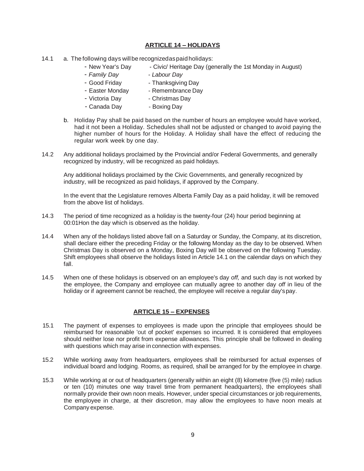# **ARTICLE 14 – HOLIDAYS**

- 14.1 a. The following days willbe recognizedaspaidholidays:
	- New Year's Day Civic/ Heritage Day (generally the 1st Monday in August)
	- *Family Day - Labour Day*
	- Good Friday Thanksgiving Day
	- Easter Monday Remembrance Day
	- Victoria Day  **Christmas Day**
	- Canada Day  **Boxing Day**
	- b. Holiday Pay shall be paid based on the number of hours an employee would have worked, had it not been a Holiday. Schedules shall not be adjusted or changed to avoid paying the higher number of hours for the Holiday. A Holiday shall have the effect of reducing the regular work week by one day.
- 14.2 Any additional holidays proclaimed by the Provincial and/or Federal Governments, and generally recognized by industry, will be recognized as paid holidays.

Any additional holidays proclaimed by the Civic Governments, and generally recognized by industry, will be recognized as paid holidays, if approved by the Company.

In the event that the Legislature removes Alberta Family Day as a paid holiday, it will be removed from the above list of holidays.

- 14.3 The period of time recognized as a holiday is the twenty-four (24) hour period beginning at 00:01Hon the day which is observed as the holiday.
- 14.4 When any of the holidays listed above fall on a Saturday or Sunday, the Company, at its discretion, shall declare either the preceding Friday or the following Monday as the day to be observed. When Christmas Day is observed on a Monday, Boxing Day will be observed on the following Tuesday. Shift employees shall observe the holidays listed in Article 14.1 on the calendar days on which they fall.
- 14.5 When one of these holidays is observed on an employee's day *off,* and such day is not worked by the employee, the Company and employee can mutually agree to another day *off* in lieu of the holiday or if agreement cannot be reached, the employee will receive a regular day'spay.

# **ARTICLE 15 – EXPENSES**

- 15.1 The payment of expenses to employees is made upon the principle that employees should be reimbursed for reasonable 'out of pocket' expenses so incurred. It is considered that employees should neither lose nor profit from expense allowances. This principle shall be followed in dealing with questions which may arise in connection with expenses.
- 15.2 While working away from headquarters, employees shall be reimbursed for actual expenses of individual board and lodging. Rooms, as required, shall be arranged for by the employee in charge.
- 15.3 While working at or out of headquarters (generally within an eight (8) kilometre (five (5) mile) radius or ten (10) minutes one way travel time from permanent headquarters), the employees shall normally provide their own noon meals. However, under special circumstances or job requirements, the employee in charge, at their discretion, may allow the employees to have noon meals at Company expense.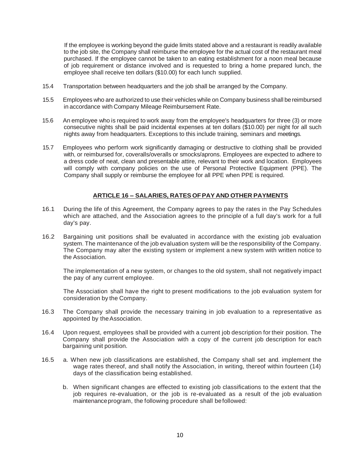If the employee is working beyond the guide limits stated above and a restaurant is readily available to the job site, the Company shall reimburse the employee for the actual cost of the restaurant meal purchased. If the employee cannot be taken to an eating establishment for a noon meal because of job requirement or distance involved and is requested to bring a home prepared lunch, the employee shall receive ten dollars (\$10.00) for each lunch supplied.

- 15.4 Transportation between headquarters and the job shall be arranged by the Company.
- 15.5 Employees who are authorized to use their vehicles while on Company business shall bereimbursed in accordance with Company Mileage Reimbursement Rate.
- 15.6 An employee who is required to work away from the employee's headquarters for three (3) or more consecutive nights shall be paid incidental expenses at ten dollars (\$10.00) per night for all such nights away from headquarters. Exceptions to this include training, seminars and meetings.
- 15.7 Employees who perform work significantly damaging or destructive to clothing shall be provided with, or reimbursed for, coveralls/overalls or smocks/aprons. Employees are expected to adhere to a dress code of neat, clean and presentable attire, relevant to their work and location. Employees will comply with company policies on the use of Personal Protective Equipment (PPE). The Company shall supply or reimburse the employee for all PPE when PPE is required.

# **ARTICLE 16 – SALARIES, RATES OFPAY AND OTHER PAYMENTS**

- <span id="page-12-0"></span>16.1 During the life of this Agreement, the Company agrees to pay the rates in the Pay Schedules which are attached, and the Association agrees to the principle of a full day's work for a full day's pay.
- 16.2 Bargaining unit positions shall be evaluated in accordance with the existing job evaluation system. The maintenance of the job evaluation system will be the responsibility of the Company. The Company may alter the existing system or implement a new system with written notice to the Association.

The implementation of a new system, or changes to the old system, shall not negatively impact the pay of any current employee.

The Association shall have the right to present modifications to the job evaluation system for consideration by the Company.

- 16.3 The Company shall provide the necessary training in job evaluation to a representative as appointed by theAssociation.
- 16.4 Upon request, employees shall be provided with a current job description for their position. The Company shall provide the Association with a copy of the current job description for each bargaining unit position.
- 16.5 a. When new job classifications are established, the Company shall set and. implement the wage rates thereof, and shall notify the Association, in writing, thereof within fourteen (14) days of the classification being established.
	- b. When significant changes are effected to existing job classifications to the extent that the job requires re-evaluation, or the job is re-evaluated as a result of the job evaluation maintenanceprogram, the following procedure shall befollowed: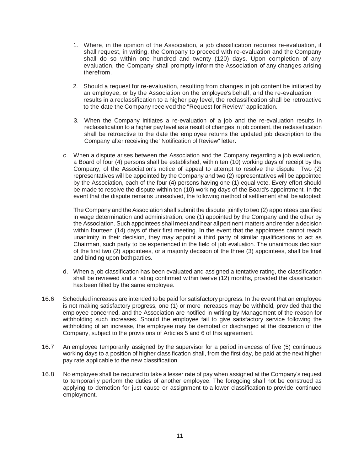- 1. Where, in the opinion of the Association, a job classification requires re-evaluation, it shall request, in writing, the Company to proceed with re-evaluation and the Company shall do so within one hundred and twenty (120) days. Upon completion of any evaluation, the Company shall promptly inform the Association of any changes arising therefrom.
- 2. Should a request for re-evaluation, resulting from changes in job content be initiated by an employee, or by the Association on the employee's behalf, and the re-evaluation results in a reclassification to a higher pay level, the reclassification shall be retroactive to the date the Company received the "Request for Review" application.
- 3. When the Company initiates a re-evaluation of a job and the re-evaluation results in reclassification to a higher pay level as a result of changes in job content, the reclassification shall be retroactive to the date the employee returns the updated job description to the Company after receiving the "Notification of Review" letter.
- c. When a dispute arises between the Association and the Company regarding a job evaluation, a Board of four (4) persons shall be established, within ten (10) working days of receipt by the Company, of the Association's notice of appeal to attempt to resolve the dispute. Two (2) representatives will be appointed by the Company and two (2) representatives will be appointed by the Association, each of the four (4) persons having one (1) equal vote. Every effort should be made to resolve the dispute within ten (10) working days of the Board's appointment. In the event that the dispute remains unresolved, the following method of settlement shall be adopted:

The Company and the Association shall submit the dispute jointly to two (2) appointees qualified in wage determination and administration, one (1) appointed by the Company and the other by the Association. Such appointees shall meet and hear allpertinent matters and render a decision within fourteen (14) days of their first meeting. In the event that the appointees cannot reach unanimity in their decision, they may appoint a third party of similar qualifications to act as Chairman, such party to be experienced in the field of job evaluation. The unanimous decision of the first two (2) appointees, or a majority decision of the three (3) appointees, shall be final and binding upon bothparties.

- d. When a job classification has been evaluated and assigned a tentative rating, the classification shall be reviewed and a rating confirmed within twelve (12) months, provided the classification has been filled by the same employee.
- 16.6 Scheduled increases are intended to be paid for satisfactory progress. In the event that an employee is not making satisfactory progress, one (1) or more increases may be withheld, provided that the employee concerned, and the Association are notified in writing by Management of the reason for withholding such increases. Should the employee fail to give satisfactory service following the withholding of an increase, the employee may be demoted or discharged at the discretion of the Company, subject to the provisions of Articles 5 and 6 of this agreement.
- 16.7 An employee temporarily assigned by the supervisor for a period in excess of five (5) continuous working days to a position of higher classification shall, from the first day, be paid at the next higher pay rate applicable to the new classification.
- 16.8 No employee shall be required to take a lesser rate of pay when assigned at the Company's request to temporarily perform the duties of another employee. The foregoing shall not be construed as applying to demotion for just cause or assignment to a lower classification to provide continued employment.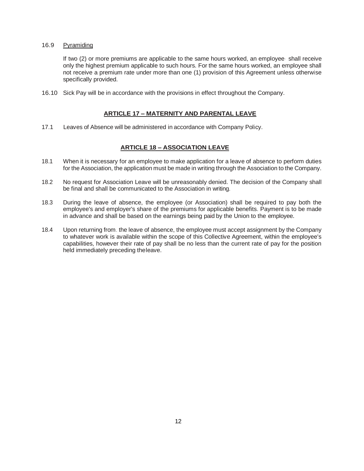#### 16.9 Pyramiding

If two (2) or more premiums are applicable to the same hours worked, an employee· shall receive only the highest premium applicable to such hours. For the same hours worked, an employee shall not receive a premium rate under more than one (1) provision of this Agreement unless otherwise specifically provided.

<span id="page-14-0"></span>16.10 Sick Pay will be in accordance with the provisions in effect throughout the Company.

# **ARTICLE 17 – MATERNITY AND PARENTAL LEAVE**

17.1 Leaves of Absence will be administered in accordance with Company Policy.

# **ARTICLE 18 – ASSOCIATION LEAVE**

- 18.1 When it is necessary for an employee to make application for a leave of absence to perform duties for the Association, the application must be made in writing through the Association to the Company.
- 18.2 No request for Association Leave will be unreasonably denied. The decision of the Company shall be final and shall be communicated to the Association in writing.
- 18.3 During the leave of absence, the employee (or Association) shall be required to pay both the employee's and employer's share of the premiums for applicable benefits. Payment is to be made in advance and shall be based on the earnings being paid by the Union to the employee.
- 18.4 Upon returning from. the leave of absence, the employee must accept assignment by the Company to whatever work is available within the scope of this Collective Agreement, within the employee's capabilities, however their rate of pay shall be no less than the current rate of pay for the position held immediately preceding theleave.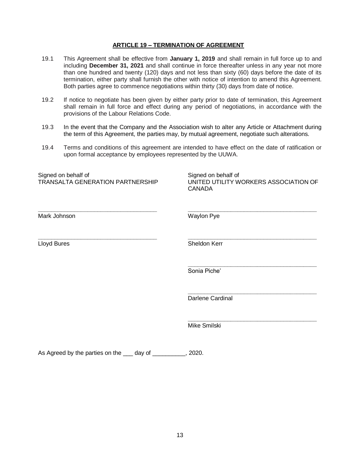## **ARTICLE 19 – TERMINATION OF AGREEMENT**

- 19.1 This Agreement shall be effective from **January 1, 2019** and shall remain in full force up to and including **December 31, 2021** and shall continue in force thereafter unless in any year not more than one hundred and twenty (120) days and not less than sixty (60) days before the date of its termination, either party shall furnish the other with notice of intention to amend this Agreement. Both parties agree to commence negotiations within thirty (30) days from date of notice.
- 19.2 If notice to negotiate has been given by either party prior to date of termination, this Agreement shall remain in full force and effect during any period of negotiations, in accordance with the provisions of the Labour Relations Code.
- 19.3 In the event that the Company and the Association wish to alter any Article or Attachment during the term of this Agreement, the parties may, by mutual agreement, negotiate such alterations.
- 19.4 Terms and conditions of this agreement are intended to have effect on the date of ratification or upon formal acceptance by employees represented by the UUWA.

| Signed on behalf of<br>TRANSALTA GENERATION PARTNERSHIP | Signed on behalf of<br>UNITED UTILITY WORKERS ASSOCIATION OF<br><b>CANADA</b> |
|---------------------------------------------------------|-------------------------------------------------------------------------------|
| Mark Johnson                                            | Waylon Pye                                                                    |
| Lloyd Bures                                             | Sheldon Kerr                                                                  |
|                                                         | Sonia Piche'                                                                  |
|                                                         | <b>Darlene Cardinal</b>                                                       |
|                                                         | Mike Smilski                                                                  |
| As Agreed by the parties on the<br>day of               | 2020.                                                                         |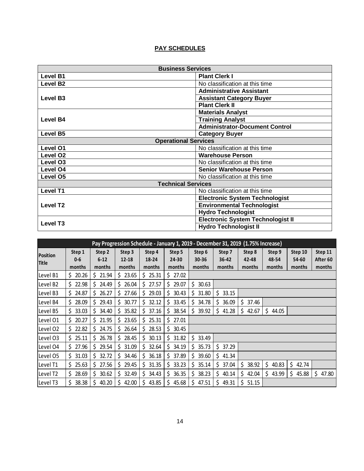# **PAY SCHEDULES**

| <b>Business Services</b>    |                                          |  |  |  |  |
|-----------------------------|------------------------------------------|--|--|--|--|
| <b>Level B1</b>             | <b>Plant Clerk I</b>                     |  |  |  |  |
| <b>Level B2</b>             | No classification at this time           |  |  |  |  |
|                             | <b>Administrative Assistant</b>          |  |  |  |  |
| Level B <sub>3</sub>        | <b>Assistant Category Buyer</b>          |  |  |  |  |
|                             | <b>Plant Clerk II</b>                    |  |  |  |  |
|                             | <b>Materials Analyst</b>                 |  |  |  |  |
| <b>Level B4</b>             | <b>Training Analyst</b>                  |  |  |  |  |
|                             | <b>Administrator-Document Control</b>    |  |  |  |  |
| <b>Level B5</b>             | <b>Category Buyer</b>                    |  |  |  |  |
| <b>Operational Services</b> |                                          |  |  |  |  |
| Level O1                    | No classification at this time           |  |  |  |  |
| Level O <sub>2</sub>        | <b>Warehouse Person</b>                  |  |  |  |  |
| Level O <sub>3</sub>        | No classification at this time           |  |  |  |  |
| Level O4                    | <b>Senior Warehouse Person</b>           |  |  |  |  |
| Level O5                    | No classification at this time           |  |  |  |  |
| <b>Technical Services</b>   |                                          |  |  |  |  |
| <b>Level T1</b>             | No classification at this time           |  |  |  |  |
|                             | <b>Electronic System Technologist</b>    |  |  |  |  |
| Level T <sub>2</sub>        | <b>Environmental Technologist</b>        |  |  |  |  |
|                             | <b>Hydro Technologist</b>                |  |  |  |  |
|                             | <b>Electronic System Technologist II</b> |  |  |  |  |
| <b>Level T3</b>             | <b>Hydro Technologist II</b>             |  |  |  |  |

|                          | Pay Progression Schedule - January 1, 2019 - December 31, 2019 (1.75% Increase) |                    |                     |                 |                     |                     |                     |                 |                 |                  |                     |
|--------------------------|---------------------------------------------------------------------------------|--------------------|---------------------|-----------------|---------------------|---------------------|---------------------|-----------------|-----------------|------------------|---------------------|
| <b>Position</b><br>Title | Step 1<br>$0-6$                                                                 | Step 2<br>$6 - 12$ | Step 3<br>$12 - 18$ | Step 4<br>18-24 | Step 5<br>$24 - 30$ | Step 6<br>$30 - 36$ | Step 7<br>$36 - 42$ | Step 8<br>42-48 | Step 9<br>48-54 | Step 10<br>54-60 | Step 11<br>After 60 |
|                          | months                                                                          | months             | months              | months          | months              | months              | months              | months          | months          | months           | months              |
| Level B1                 | 20.26<br>S.                                                                     | \$21.94            | \$23.65             | \$25.31         | \$27.02             |                     |                     |                 |                 |                  |                     |
| Level B2                 | \$22.98                                                                         | 24.49<br>S.        | 26.04<br>S.         | \$27.57         | \$29.07             | 30.63<br>S.         |                     |                 |                 |                  |                     |
| Level B3                 | \$24.87                                                                         | \$26.27            | \$27.66             | \$29.03         | \$30.43             | 31.80<br>Ŝ.         | 33.15<br>S.         |                 |                 |                  |                     |
| Level B4                 | 28.09<br>Ŝ.                                                                     | 29.43<br>Ś.        | \$<br>30.77         | \$32.12         | \$33.45             | \$.<br>34.78        | 36.09<br>\$.        | Ś.<br>37.46     |                 |                  |                     |
| Level B5                 | 33.03<br>Ŝ.                                                                     | 34.40<br>\$.       | \$35.82             | \$37.16         | 38.54<br>Ś.         | 39.92<br>\$.        | \$.<br>41.28        | \$<br>42.67     | \$<br>44.05     |                  |                     |
| Level 01                 | 20.27<br>Ŝ.                                                                     | \$<br>21.95        | \$23.65             | \$25.31         | \$27.01             |                     |                     |                 |                 |                  |                     |
| Level O2                 | 22.82<br>\$.                                                                    | 24.75<br>\$.       | 26.64<br>\$.        | \$28.53         | Ś.<br>30.45         |                     |                     |                 |                 |                  |                     |
| Level O3                 | 25.11<br>S.                                                                     | \$.<br>26.78       | \$<br>28.45         | 30.13<br>Ś.     | 31.82<br>Ś.         | 33.49<br>\$.        |                     |                 |                 |                  |                     |
| Level 04                 | 27.96<br>\$.                                                                    | 29.54<br>S.        | 31.09<br>\$.        | 32.64<br>\$.    | 34.19<br>Ś.         | 35.73<br>\$.        | 37.29<br>\$.        |                 |                 |                  |                     |
| Level O5                 | Ŝ.<br>31.03                                                                     | Ś.<br>32.72        | \$<br>34.46         | 36.18<br>S.     | 37.89               | 39.60<br>Ś.         | 41.34<br>S.         |                 |                 |                  |                     |
| Level T1                 | 25.63<br>S.                                                                     | 27.56<br>S.        | 29.45<br>Ŝ.         | 31.35<br>\$.    | 33.23<br>\$.        | 35.14<br>\$.        | 37.04<br>\$.        | 38.92<br>\$.    | \$<br>40.83     | \$<br>42.74      |                     |
| Level T2                 | 28.69<br>S.                                                                     | \$30.62            | \$32.49             | \$34.43         | \$36.35             | 38.23<br>\$.        | 40.14<br>\$.        | \$.<br>42.04    | \$<br>43.99     | \$<br>45.88      | \$.<br>47.80        |
| Level T3                 | \$.<br>38.38                                                                    | Ś.<br>40.20        | \$.<br>42.00        | Ś.<br>43.85     | 45.68<br>\$.        | \$<br>47.51         | \$<br>49.31         | Ś.<br>51.15     |                 |                  |                     |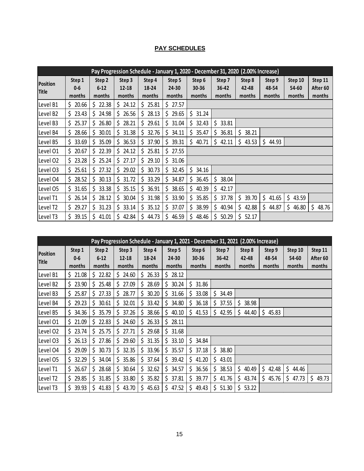# **PAY SCHEDULES**

|                 | Pay Progression Schedule - January 1, 2020 - December 31, 2020 (2.00% Increase) |              |             |             |              |              |             |             |             |             |             |
|-----------------|---------------------------------------------------------------------------------|--------------|-------------|-------------|--------------|--------------|-------------|-------------|-------------|-------------|-------------|
| <b>Position</b> | Step 1                                                                          | Step 2       | Step 3      | Step 4      | Step 5       | Step 6       | Step 7      | Step 8      | Step 9      | Step 10     | Step 11     |
| Title           | $0-6$                                                                           | $6-12$       | $12 - 18$   | 18-24       | 24-30        | 30-36        | 36-42       | 42-48       | 48-54       | 54-60       | After 60    |
|                 | months                                                                          | months       | months      | months      | months       | months       | months      | months      | months      | months      | months      |
| Level B1        | 20.66<br>S.                                                                     | \$22.38      | \$24.12     | \$25.81     | \$27.57      |              |             |             |             |             |             |
| Level B2        | \$23.43                                                                         | 24.98<br>\$  | 26.56<br>\$ | \$28.13     | \$29.65      | \$.<br>31.24 |             |             |             |             |             |
| Level B3        | \$25.37                                                                         | \$26.80      | \$28.21     | \$29.61     | \$31.04      | \$32.43      | 33.81<br>\$ |             |             |             |             |
| Level B4        | 28.66<br>Ś.                                                                     | \$<br>30.01  | \$<br>31.38 | \$<br>32.76 | \$<br>34.11  | Ś.<br>35.47  | 36.81<br>\$ | \$<br>38.21 |             |             |             |
| Level B5        | 33.69<br>\$.                                                                    | \$35.09      | \$<br>36.53 | \$<br>37.90 | \$.<br>39.31 | \$<br>40.71  | \$<br>42.11 | \$<br>43.53 | \$<br>44.93 |             |             |
| Level 01        | 20.67<br>Ś.                                                                     | 22.39<br>\$  | 24.12<br>\$ | \$<br>25.81 | \$27.55      |              |             |             |             |             |             |
| Level 02        | 23.28<br>Ś.                                                                     | 25.24<br>\$  | \$<br>27.17 | Ŝ.<br>29.10 | \$31.06      |              |             |             |             |             |             |
| Level O3        | 25.61<br>\$                                                                     | 27.32<br>\$. | \$<br>29.02 | 30.73<br>\$ | \$<br>32.45  | \$.<br>34.16 |             |             |             |             |             |
| Level 04        | 28.52<br>Ś.                                                                     | \$<br>30.13  | \$<br>31.72 | \$<br>33.29 | \$.<br>34.87 | 36.45<br>\$. | 38.04<br>\$ |             |             |             |             |
| Level 05        | Ś.<br>31.65                                                                     | \$<br>33.38  | 35.15<br>\$ | \$<br>36.91 | 38.65<br>\$. | \$<br>40.39  | 42.17<br>\$ |             |             |             |             |
| Level T1        | 26.14<br>S.                                                                     | 28.12<br>\$  | \$<br>30.04 | \$<br>31.98 | \$.<br>33.90 | 35.85<br>\$. | 37.78<br>\$ | \$<br>39.70 | \$<br>41.65 | \$<br>43.59 |             |
| Level T2        | 29.27<br>\$                                                                     | \$<br>31.23  | \$<br>33.14 | \$<br>35.12 | \$<br>37.07  | \$<br>38.99  | 40.94<br>\$ | \$<br>42.88 | \$<br>44.87 | \$<br>46.80 | \$<br>48.76 |
| Level T3        | Ś.<br>39.15                                                                     | \$<br>41.01  | \$<br>42.84 | 44.73       | \$.<br>46.59 | \$.<br>48.46 | 50.29<br>\$ | Ś.<br>52.17 |             |             |             |

|                 | Pay Progression Schedule - January 1, 2021 - December 31, 2021 (2.00% Increase) |              |             |                        |              |              |              |              |             |             |             |
|-----------------|---------------------------------------------------------------------------------|--------------|-------------|------------------------|--------------|--------------|--------------|--------------|-------------|-------------|-------------|
| <b>Position</b> | Step 1                                                                          | Step 2       | Step 3      | Step 4                 | Step 5       | Step 6       | Step 7       | Step 8       | Step 9      | Step 10     | Step 11     |
| Title           | $0-6$                                                                           | $6 - 12$     | $12 - 18$   | 18-24                  | 24-30        | $30 - 36$    | $36 - 42$    | 42-48        | 48-54       | 54-60       | After 60    |
|                 | months                                                                          | months       | months      | months                 | months       | months       | months       | months       | months      | months      | months      |
| Level B1        | \$21.08                                                                         | \$22.82      | \$24.60     | \$26.33                | \$28.12      |              |              |              |             |             |             |
| Level B2        | 23.90<br>S.                                                                     | \$.<br>25.48 | \$<br>27.09 | 28.69<br>S             | 30.24<br>Ś.  | \$<br>31.86  |              |              |             |             |             |
| Level B3        | 25.87<br>\$.                                                                    | Ś.<br>27.33  | \$<br>28.77 | Ś.<br>30.20            | Ś.<br>31.66  | 33.08<br>\$. | 34.49<br>S.  |              |             |             |             |
| Level B4        | 29.23<br>\$.                                                                    | \$<br>30.61  | \$<br>32.01 | 33.42<br>\$            | \$.<br>34.80 | 36.18<br>S.  | 37.55<br>S.  | 38.98<br>Ş   |             |             |             |
| Level B5        | 34.36<br>S.                                                                     | \$<br>35.79  | \$37.26     | \$<br>38.66            | \$40.10      | \$41.53      | \$<br>42.95  | \$<br>44.40  | \$<br>45.83 |             |             |
| Level 01        | \$21.09                                                                         | 22.83<br>Ŝ.  | 24.60<br>\$ | 26.33<br>Ŝ             | \$28.11      |              |              |              |             |             |             |
| Level 02        | \$23.74                                                                         | \$25.75      | \$27.71     | Ŝ.<br>29.68            | \$31.68      |              |              |              |             |             |             |
| Level 03        | 26.13<br>S.                                                                     | 27.86<br>S.  | 29.60<br>\$ | 31.35<br>\$            | \$33.10      | 34.84<br>S.  |              |              |             |             |             |
| Level 04        | 29.09<br>Ś.                                                                     | \$.<br>30.73 | \$32.35     | 33.96<br>\$            | \$35.57      | \$.<br>37.18 | \$<br>38.80  |              |             |             |             |
| Level 05        | 32.29<br>Ś.                                                                     | Ś.<br>34.04  | \$<br>35.86 | 37.64<br><sub>S</sub>  | 39.42<br>Ś.  | \$41.20      | 43.01<br>Ś.  |              |             |             |             |
| Level T1        | \$26.67                                                                         | \$.<br>28.68 | \$30.64     | 32.62<br>$\frac{1}{2}$ | \$34.57      | 36.56<br>\$. | 38.53<br>\$. | \$.<br>40.49 | \$<br>42.48 | \$<br>44.46 |             |
| Level T2        | 29.85<br>Ś.                                                                     | \$31.85      | \$33.80     | 35.82<br>\$            | \$.<br>37.81 | 39.77<br>\$. | \$.<br>41.76 | \$<br>43.74  | \$<br>45.76 | \$<br>47.73 | \$<br>49.73 |
| Level T3        | 39.93<br>\$.                                                                    | \$<br>41.83  | \$<br>43.70 | 45.63<br>\$            | \$.<br>47.52 | Ś.<br>49.43  | Ś.<br>51.30  | Ś.<br>53.22  |             |             |             |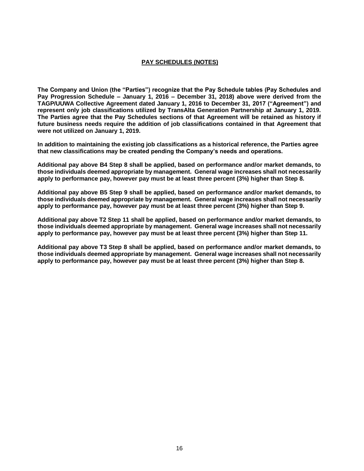# **PAY SCHEDULES (NOTES)**

**The Company and Union (the "Parties") recognize that the Pay Schedule tables (Pay Schedules and Pay Progression Schedule – January 1, 2016 – December 31, 2018) above were derived from the TAGP/UUWA Collective Agreement dated January 1, 2016 to December 31, 2017 ("Agreement") and represent only job classifications utilized by TransAlta Generation Partnership at January 1, 2019. The Parties agree that the Pay Schedules sections of that Agreement will be retained as history if future business needs require the addition of job classifications contained in that Agreement that were not utilized on January 1, 2019.** 

**In addition to maintaining the existing job classifications as a historical reference, the Parties agree that new classifications may be created pending the Company's needs and operations.**

**Additional pay above B4 Step 8 shall be applied, based on performance and/or market demands, to those individuals deemed appropriate by management. General wage increases shall not necessarily apply to performance pay, however pay must be at least three percent (3%) higher than Step 8.** 

**Additional pay above B5 Step 9 shall be applied, based on performance and/or market demands, to those individuals deemed appropriate by management. General wage increases shall not necessarily apply to performance pay, however pay must be at least three percent (3%) higher than Step 9.** 

**Additional pay above T2 Step 11 shall be applied, based on performance and/or market demands, to those individuals deemed appropriate by management. General wage increases shall not necessarily apply to performance pay, however pay must be at least three percent (3%) higher than Step 11.**

**Additional pay above T3 Step 8 shall be applied, based on performance and/or market demands, to those individuals deemed appropriate by management. General wage increases shall not necessarily apply to performance pay, however pay must be at least three percent (3%) higher than Step 8.**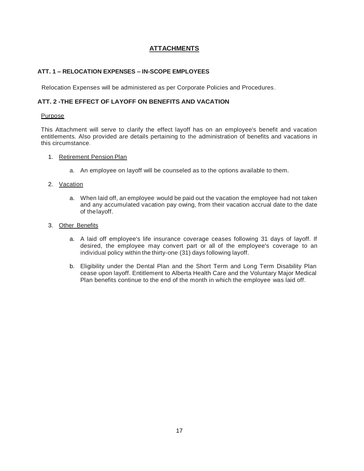# **ATTACHMENTS**

# **ATT. 1 – RELOCATION EXPENSES – IN-SCOPE EMPLOYEES**

Relocation Expenses will be administered as per Corporate Policies and Procedures.

# **ATT. 2 -THE EFFECT OF LAYOFF ON BENEFITS AND VACATION**

## **Purpose**

This Attachment will serve to clarify the effect layoff has on an employee's benefit and vacation entitlements. Also provided are details pertaining to the administration of benefits and vacations in this circumstance.

#### 1. Retirement Pension Plan

a. An employee on layoff will be counseled as to the options available to them.

# 2. Vacation

a. When laid off, an employee would be paid out the vacation the employee had not taken and any accumulated vacation pay owing, from their vacation accrual date to the date of thelayoff.

# 3. Other Benefits

- a. A laid off employee's life insurance coverage ceases following 31 days of layoff. If desired, the employee may convert part or all of the employee's coverage to an individual policy within the thirty-one (31) days following layoff.
- b. Eligibility under the Dental Plan and the Short Term and Long Term Disability Plan cease upon layoff. Entitlement to Alberta Health Care and the Voluntary Major Medical Plan benefits continue to the end of the month in which the employee was laid off.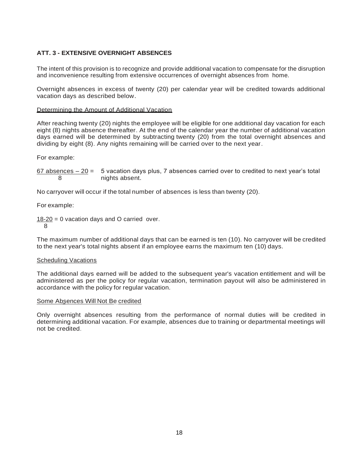# **ATT. 3 - EXTENSIVE OVERNIGHT ABSENCES**

The intent of this provision is to recognize and provide additional vacation to compensate for the disruption and inconvenience resulting from extensive occurrences of overnight absences from home.

Overnight absences in excess of twenty (20) per calendar year will be credited towards additional vacation days as described below.

#### Determining the Amount of Additional Vacation

After reaching twenty (20) nights the employee will be eligible for one additional day vacation for each eight (8) nights absence thereafter. At the end of the calendar year the number of additional vacation days earned will be determined by subtracting twenty (20) from the total overnight absences and dividing by eight (8). Any nights remaining will be carried over to the next year.

For example:

67 absences – 20 = 5 vacation days plus, 7 absences carried over to credited to next year's total 8 nights absent.

No carryover will occur if the total number of absences is less than twenty (20).

For example:

 $18-20$  = 0 vacation days and O carried over. 8

The maximum number of additional days that can be earned is ten (10). No carryover will be credited to the next year's total nights absent if an employee earns the maximum ten (10) days.

#### Scheduling Vacations

The additional days earned will be added to the subsequent year's vacation entitlement and will be administered as per the policy for regular vacation, termination payout will also be administered in accordance with the policy for regular vacation.

#### Some Absences Will Not Be credited

Only overnight absences resulting from the performance of normal duties will be credited in determining additional vacation. For example, absences due to training or departmental meetings will not be credited.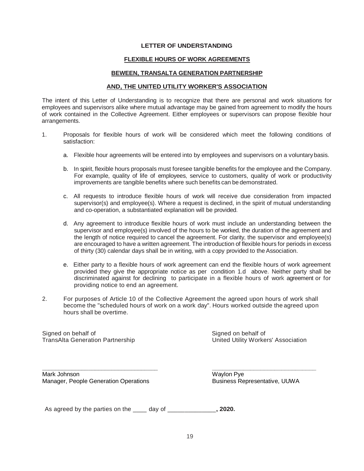#### **FLEXIBLE HOURS OF WORK AGREEMENTS**

#### **BEWEEN, TRANSALTA GENERATION PARTNERSHIP**

#### **AND, THE UNITED UTILITY WORKER'S ASSOCIATION**

The intent of this Letter of Understanding is to recognize that there are personal and work situations for employees and supervisors alike where mutual advantage may be gained from agreement to modify the hours of work contained in the Collective Agreement. Either employees or supervisors can propose flexible hour arrangements.

- 1. Proposals for flexible hours of work will be considered which meet the following conditions of satisfaction:
	- a. Flexible hour agreements will be entered into by employees and supervisors on a voluntary basis.
	- b. In spirit, flexible hours proposals must foresee tangible benefits for the employee and the Company. For example, quality of life of employees, service to customers, quality of work or productivity improvements are tangible benefits where such benefits can be demonstrated.
	- c. All requests to introduce flexible hours of work will receive due consideration from impacted supervisor(s) and employee(s). Where a request is declined, in the spirit of mutual understanding and co-operation, a substantiated explanation will be provided.
	- d. Any agreement to introduce flexible hours of work must include an understanding between the supervisor and employee(s) involved of the hours to be worked, the duration of the agreement and the length of notice required to cancel the agreement. For clarity, the supervisor and employee(s) are encouraged to have a written agreement. The introduction of flexible hours for periods in excess of thirty (30) calendar days shall be in writing, with a copy provided to theAssociation.
	- e. Either party to a flexible hours of work agreement can end the flexible hours of work agreement provided they give the appropriate notice as per condition 1.d above. Neither party shall be discriminated against for declining to participate in a flexible hours of work agreement or for providing notice to end an agreement.
- 2. For purposes of Article 10 of the Collective Agreement the agreed upon hours of work shall become the "scheduled hours of work on a work day". Hours worked outside the agreed upon hours shall be overtime.

Signed on behalf of TransAlta Generation Partnership Signed on behalf of United Utility Workers' Association

Mark Johnson Manager, People Generation Operations

**\_\_\_\_\_\_\_\_\_\_\_\_\_\_\_\_\_\_\_\_\_\_\_\_\_\_\_\_\_\_\_\_\_\_\_**

Waylon Pye Business Representative, UUWA

**\_\_\_\_\_\_\_\_\_\_\_\_\_\_\_\_\_\_\_\_\_\_\_\_\_\_\_\_\_\_**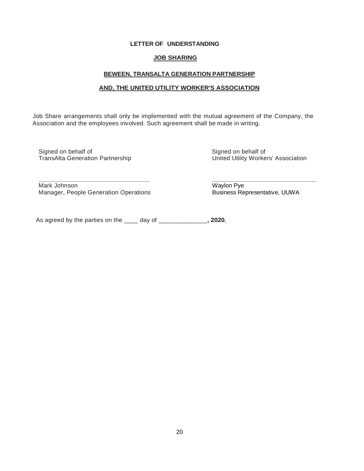#### **JOB SHARING**

#### **BEWEEN, TRANSALTA GENERATION PARTNERSHIP**

#### **AND, THE UNITED UTILITY WORKER'S ASSOCIATION**

Job Share arrangements shall only be implemented with the mutual agreement of the Company, the Association and the employees involved. Such agreement shall be made in writing.

Signed on behalf of TransAlta Generation Partnership Signed on behalf of United Utility Workers' Association

Mark Johnson Manager, People Generation Operations

**\_\_\_\_\_\_\_\_\_\_\_\_\_\_\_\_\_\_\_\_\_\_\_\_\_\_\_\_\_\_\_\_** 

Waylon Pye Business Representative, UUWA

**\_\_\_\_\_\_\_\_\_\_\_\_\_\_\_\_\_\_\_\_\_\_\_\_\_\_\_\_\_\_**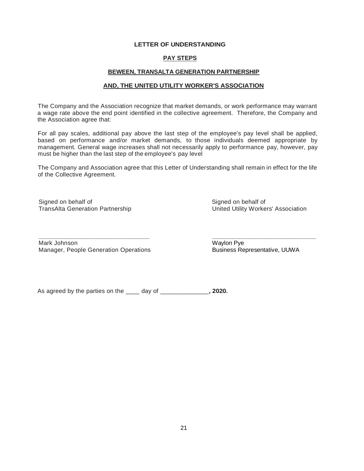#### **PAY STEPS**

#### **BEWEEN, TRANSALTA GENERATION PARTNERSHIP**

#### **AND, THE UNITED UTILITY WORKER'S ASSOCIATION**

The Company and the Association recognize that market demands, or work performance may warrant a wage rate above the end point identified in the collective agreement. Therefore, the Company and the Association agree that:

For all pay scales, additional pay above the last step of the employee's pay level shall be applied, based on performance and/or market demands, to those individuals deemed appropriate by management. General wage increases shall not necessarily apply to performance pay, however, pay must be higher than the last step of the employee's pay level

The Company and Association agree that this Letter of Understanding shall remain in effect for the life of the Collective Agreement.

Signed on behalf of TransAlta Generation Partnership Signed on behalf of United Utility Workers' Association

Mark Johnson Manager, People Generation Operations

**\_\_\_\_\_\_\_\_\_\_\_\_\_\_\_\_\_\_\_\_\_\_\_\_\_\_\_\_\_\_\_\_** 

Waylon Pye Business Representative, UUWA

**\_\_\_\_\_\_\_\_\_\_\_\_\_\_\_\_\_\_\_\_\_\_\_\_\_\_\_\_\_\_**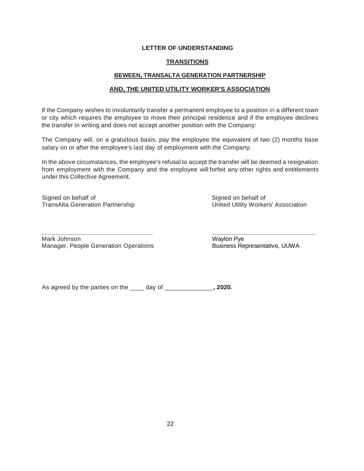# **TRANSITIONS**

# **BEWEEN, TRANSALTA GENERATION PARTNERSHIP**

#### **AND, THE UNITED UTILITY WORKER'S ASSOCIATION**

If the Company wishes to involuntarily transfer a permanent employee to a position in a different town or city which requires the employee to move their principal residence and if the employee declines the transfer in writing and does not accept another position with the Company:

The Company will, on a gratuitous basis, pay the employee the equivalent of two (2) months base salary on or after the employee's last day of employment with the Company.

In the above circumstances, the employee's refusal to accept the transfer will be deemed a resignation from employment with the Company and the employee will forfeit any other rights and entitlements under this Collective Agreement.

Signed on behalf of TransAlta Generation Partnership Signed on behalf of United Utility Workers' Association

**\_\_\_\_\_\_\_\_\_\_\_\_\_\_\_\_\_\_\_\_\_\_\_\_\_\_\_\_\_\_\_\_**  Mark Johnson Manager, People Generation Operations

Waylon Pye Business Representative, UUWA

**\_\_\_\_\_\_\_\_\_\_\_\_\_\_\_\_\_\_\_\_\_\_\_\_\_\_\_\_\_\_**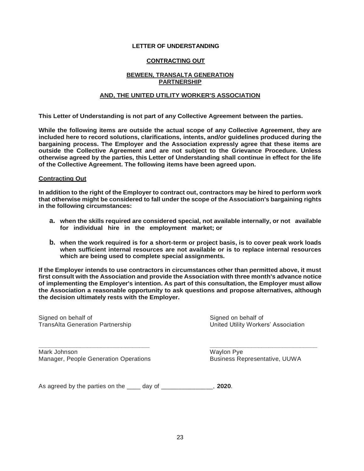# **CONTRACTING OUT**

# **BEWEEN, TRANSALTA GENERATION PARTNERSHIP**

# **AND, THE UNITED UTILITY WORKER'S ASSOCIATION**

**This Letter of Understanding is not part of any Collective Agreement between the parties.**

**While the following items are outside the actual scope of any Collective Agreement, they are included here to record solutions, clarifications, intents, and/or guidelines produced during the bargaining process. The Employer and the Association expressly agree that these items are outside the Collective Agreement and are not subject to the Grievance Procedure. Unless otherwise agreed by the parties, this Letter of Understanding shall continue in effect for the life of the Collective Agreement. The following items have been agreed upon.**

#### **Contracting Out**

**In addition to the right of the Employer to contract out, contractors may be hired to perform work that otherwise might be considered to fall under the scope of the Association's bargaining rights in the following circumstances:**

- **a. when the skills required are considered special, not available internally, or not available for individual hire in the employment market; or**
- **b. when the work required is for a short-term or project basis, is to cover peak work loads when sufficient internal resources are not available or is to replace internal resources which are being used to complete special assignments.**

**If the Employer intends to use contractors in circumstances other than permitted above, it must first consult with the Association and provide the Association with three month's advance notice of implementing the Employer's intention. As part of this consultation, the Employer must allow the Association a reasonable opportunity to ask questions and propose alternatives, although the decision ultimately rests with the Employer.**

Signed on behalf of Signed on behalf of Signed on behalf of Signed on behalf of Signed on behalf of

TransAlta Generation Partnership North Controller Christian United Utility Workers' Association

**\_\_\_\_\_\_\_\_\_\_\_\_\_\_\_\_\_\_\_\_\_\_\_\_\_\_\_\_\_\_\_\_ \_\_\_\_\_\_\_\_\_\_\_\_\_\_\_\_\_\_\_\_\_\_\_\_\_\_\_\_\_\_\_**  Mark Johnson Waylon Pye Manager, People Generation Operations **Business Representative, UUWA**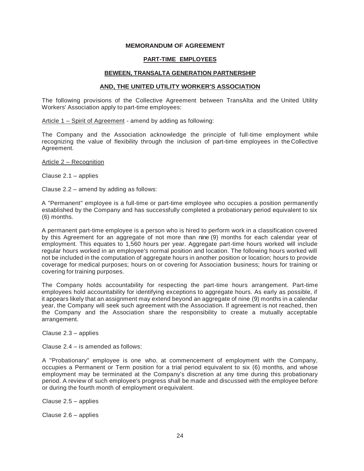#### **MEMORANDUM OF AGREEMENT**

#### **PART-TIME EMPLOYEES**

#### **BEWEEN, TRANSALTA GENERATION PARTNERSHIP**

#### **AND, THE UNITED UTILITY WORKER'S ASSOCIATION**

The following provisions of the Collective Agreement between TransAlta and the United Utility Workers' Association apply to part-time employees:

Article 1 – Spirit of Agreement - amend by adding as following:

The Company and the Association acknowledge the principle of full-time employment while recognizing the value of flexibility through the inclusion of part-time employees in the Collective Agreement.

Article 2 – Recognition

Clause 2.1 – applies

Clause 2.2 – amend by adding as follows:

A "Permanent" employee is a full-time or part-time employee who occupies a position permanently established by the Company and has successfully completed a probationary period equivalent to six (6) months.

A permanent part-time employee is a person who is hired to perform work in a classification covered by this Agreement for an aggregate of not more than nine (9) months for each calendar year of employment. This equates to 1,560 hours per year. Aggregate part-time hours worked will include regular hours worked in an employee's normal position and location. The following hours worked will not be included in the computation of aggregate hours in another position or location; hours to provide coverage for medical purposes; hours on or covering for Association business; hours for training or covering for training purposes.

The Company holds accountability for respecting the part-time hours arrangement. Part-time employees hold accountability for identifying exceptions to aggregate hours. As early as possible, if it appears likely that an assignment may extend beyond an aggregate of nine (9) months in a calendar year, the Company will seek such agreement with the Association. If agreement is not reached, then the Company and the Association share the responsibility to create a mutually acceptable arrangement.

Clause 2.3 – applies

Clause 2.4 – is amended as follows:

A "Probationary" employee is one who, at commencement of employment with the Company, occupies a Permanent or Term position for a trial period equivalent to six (6) months, and whose employment may be terminated at the Company's discretion at any time during this probationary period. A review of such employee's progress shall be made and discussed with the employee before or during the fourth month of employment orequivalent.

Clause 2.5 – applies

Clause 2.6 – applies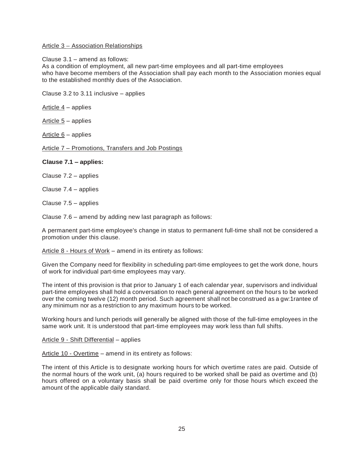#### Article 3 – Association Relationships

Clause 3.1 – amend as follows:

As a condition of employment, all new part-time employees and all part-time employees who have become members of the Association shall pay each month to the Association monies equal to the established monthly dues of the Association.

Clause 3.2 to 3.11 inclusive – applies

Article 4 – applies

Article  $5$  – applies

Article 6 – applies

Article 7 – Promotions, Transfers and Job Postings

#### **Clause 7.1 – applies:**

Clause 7.2 – applies

Clause 7.4 – applies

Clause 7.5 – applies

Clause 7.6 – amend by adding new last paragraph as follows:

A permanent part-time employee's change in status to permanent full-time shall not be considered a promotion under this clause.

Article 8 - Hours of Work – amend in its entirety as follows:

Given the Company need for flexibility in scheduling part-time employees to get the work done, hours of work for individual part-time employees may vary.

The intent of this provision is that prior to January 1 of each calendar year, supervisors and individual part-time employees shall hold a conversation to reach general agreement on the hours to be worked over the coming twelve (12) month period. Such agreement shall not be construed as a gw:1rantee of any minimum nor as a restriction to any maximum hours to be worked.

Working hours and lunch periods will generally be aligned with those of the full-time employees in the same work unit. It is understood that part-time employees may work less than full shifts.

Article 9 - Shift Differential – applies

Article 10 - Overtime – amend in its entirety as follows:

The intent of this Article is to designate working hours for which overtime rates are paid. Outside of the normal hours of the work unit, (a) hours required to be worked shall be paid as overtime and (b) hours offered on a voluntary basis shall be paid overtime only for those hours which exceed the amount of the applicable daily standard.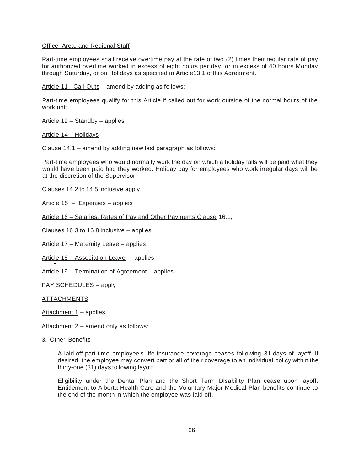#### Office, Area, and Regional Staff

Part-time employees shall receive overtime pay at the rate of two (2) times their regular rate of pay for authorized overtime worked in excess of eight hours per day, or in excess of 40 hours Monday through Saturday, or on Holidays as specified in Article13.1 ofthis Agreement.

Article 11 - Call-Outs – amend by adding as follows:

Part-time employees qualify for this Article if called out for work outside of the normal hours of the work unit.

Article 12 – Standby – applies

Article 14 – Holidays

Clause 14.1 – amend by adding new last paragraph as follows:

Part-time employees who would normally work the day on which a holiday falls will be paid what they would have been paid had they worked. Holiday pay for employees who work irregular days will be at the discretion of the Supervisor.

Clauses 14.2 to 14.5 inclusive apply

Article 15 – Expenses – applies

Article 16 – Salaries, Rates of Pay and Other Payments Clause 16.1,

Clauses 16.3 to 16.8 inclusive – applies

Article 17 – Maternity Leave – applies

Article 18 – Association Leave – applies

Article 19 – Termination of Agreement – applies

PAY SCHEDULES – apply

ATTACHMENTS

Attachment 1 – applies

Attachment  $2$  – amend only as follows:

3. Other Benefits

A laid off part-time employee's life insurance coverage ceases following 31 days of layoff. If desired, the employee may convert part or all of their coverage to an individual policy within the thirty-one (31) days following layoff.

Eligibility under the Dental Plan and the Short Term Disability Plan cease upon layoff. Entitlement to Alberta Health Care and the Voluntary Major Medical Plan benefits continue to the end of the month in which the employee was laid off.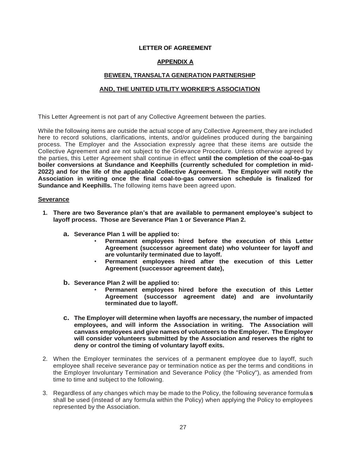# **LETTER OF AGREEMENT**

# **APPENDIX A**

# **BEWEEN, TRANSALTA GENERATION PARTNERSHIP**

#### **AND, THE UNITED UTILITY WORKER'S ASSOCIATION**

This Letter Agreement is not part of any Collective Agreement between the parties.

While the following items are outside the actual scope of any Collective Agreement, they are included here to record solutions, clarifications, intents, and/or guidelines produced during the bargaining process. The Employer and the Association expressly agree that these items are outside the Collective Agreement and are not subject to the Grievance Procedure. Unless otherwise agreed by the parties, this Letter Agreement shall continue in effect **until the completion of the coal-to-gas boiler conversions at Sundance and Keephills (currently scheduled for completion in mid-2022) and for the life of the applicable Collective Agreement. The Employer will notify the Association in writing once the final coal-to-gas conversion schedule is finalized for Sundance and Keephills.** The following items have been agreed upon.

#### **Severance**

- **1. There are two Severance plan's that are available to permanent employee's subject to layoff process. Those are Severance Plan 1 or Severance Plan 2.**
	- **a. Severance Plan 1 will be applied to:**
		- **Permanent employees hired before the execution of this Letter Agreement (successor agreement date) who volunteer for layoff and are voluntarily terminated due to layoff.**
		- **Permanent employees hired after the execution of this Letter Agreement (successor agreement date),**
	- **b. Severance Plan 2 will be applied to:**
		- **Permanent employees hired before the execution of this Letter Agreement (successor agreement date) and are involuntarily terminated due to layoff.**
	- **c. The Employer will determine when layoffs are necessary, the number of impacted employees, and will inform the Association in writing. The Association will canvass employees and give names of volunteers to the Employer. The Employer will consider volunteers submitted by the Association and reserves the right to deny or control the timing of voluntary layoff exits.**
- 2. When the Employer terminates the services of a permanent employee due to layoff, such employee shall receive severance pay or termination notice as per the terms and conditions in the Employer Involuntary Termination and Severance Policy (the "Policy"), as amended from time to time and subject to the following.
- 3. Regardless of any changes which may be made to the Policy, the following severance formula**s** shall be used (instead of any formula within the Policy) when applying the Policy to employees represented by the Association.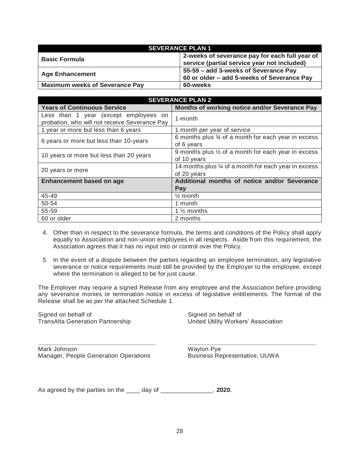| <b>SEVERANCE PLAN 1</b>               |                                                |  |  |  |  |  |
|---------------------------------------|------------------------------------------------|--|--|--|--|--|
| <b>Basic Formula</b>                  | 2-weeks of severance pay for each full year of |  |  |  |  |  |
|                                       | service (partial service year not included)    |  |  |  |  |  |
| <b>Age Enhancement</b>                | 55-59 - add 3-weeks of Severance Pay           |  |  |  |  |  |
|                                       | 60 or older - add 5-weeks of Severance Pay     |  |  |  |  |  |
| <b>Maximum weeks of Severance Pay</b> | 60-weeks                                       |  |  |  |  |  |

| <b>SEVERANCE PLAN 2</b>                                                                |                                                                               |  |  |  |  |  |  |
|----------------------------------------------------------------------------------------|-------------------------------------------------------------------------------|--|--|--|--|--|--|
| <b>Years of Continuous Service</b>                                                     | Months of working notice and/or Severance Pay                                 |  |  |  |  |  |  |
| Less than 1 year (except employees on<br>probation, who will not receive Severance Pay | 1-month                                                                       |  |  |  |  |  |  |
| 1 year or more but less than 6 years                                                   | 1 month per year of service                                                   |  |  |  |  |  |  |
| 6 years or more but less than 10-years                                                 | 6 months plus 3⁄4 of a month for each year in excess<br>of 6 years            |  |  |  |  |  |  |
| 10 years or more but less than 20 years                                                | 9 months plus $\frac{1}{2}$ of a month for each year in excess<br>of 10 years |  |  |  |  |  |  |
| 20 years or more                                                                       | 14 months plus 1/4 of a month for each year in excess<br>of 20 years          |  |  |  |  |  |  |
| Enhancement based on age                                                               | Additional months of notice and/or Severance                                  |  |  |  |  |  |  |
|                                                                                        | Pay                                                                           |  |  |  |  |  |  |
| 45-49                                                                                  | $\frac{1}{2}$ month                                                           |  |  |  |  |  |  |
| 50-54                                                                                  | 1 month                                                                       |  |  |  |  |  |  |
| 55-59                                                                                  | 1 $\frac{1}{2}$ months                                                        |  |  |  |  |  |  |
| 60 or older                                                                            | 2 months                                                                      |  |  |  |  |  |  |

- 4. Other than in respect to the severance formula, the terms and conditions of the Policy shall apply equally to Association and non-union employees in all respects. Aside from this requirement, the Association agrees that it has no input into or control over the Policy.
- 5. In the event of a dispute between the parties regarding an employee termination, any legislative severance or notice requirements must still be provided by the Employer to the employee, except where the termination is alleged to be for just cause.

The Employer may require a signed Release from any employee and the Association before providing any severance monies or termination notice in excess of legislative entitlements. The format of the Release shall be as per the attached Schedule 1.

**\_\_\_\_\_\_\_\_\_\_\_\_\_\_\_\_\_\_\_\_\_\_\_\_\_\_\_\_\_\_\_\_\_\_ \_\_\_\_\_\_\_\_\_\_\_\_\_\_\_\_\_\_\_\_\_\_\_\_\_\_\_\_\_\_\_\_\_\_\_\_\_**

Signed on behalf of Signed on behalf of

TransAlta Generation Partnership United Utility Workers' Association

Mark Johnson Waylon Pye Manager, People Generation Operations Business Representative, UUWA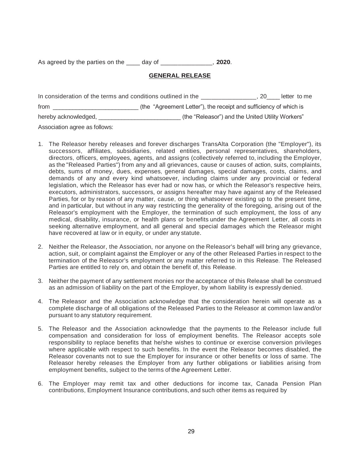As agreed by the parties on the \_\_\_\_ day of \_\_\_\_\_\_\_\_\_\_\_\_\_\_\_, **2020**.

# **GENERAL RELEASE**

| In consideration of the terms and conditions outlined in the |                                                                   | . 20 | letter to me |
|--------------------------------------------------------------|-------------------------------------------------------------------|------|--------------|
| from                                                         | (the "Agreement Letter"), the receipt and sufficiency of which is |      |              |
| hereby acknowledged,                                         | (the "Releasor") and the United Utility Workers"                  |      |              |

Association agree as follows:

- 1. The Releasor hereby releases and forever discharges TransAlta Corporation (the "Employer"), its successors, affiliates, subsidiaries, related entities, personal representatives, shareholders, directors, officers, employees, agents, and assigns (collectively referred to, including the Employer, as the "Released Parties") from any and all grievances, cause or causes of action, suits, complaints, debts, sums of money, dues, expenses, general damages, special damages, costs, claims, and demands of any and every kind whatsoever, including claims under any provincial or federal legislation, which the Releasor has ever had or now has, or which the Releasor's respective heirs, executors, administrators, successors, or assigns hereafter may have against any of the Released Parties, for or by reason of any matter, cause, or thing whatsoever existing up to the present time, and in particular, but without in any way restricting the generality of the foregoing, arising out of the Releasor's employment with the Employer, the termination of such employment, the loss of any medical, disability, insurance, or health plans or benefits under the Agreement Letter, all costs in seeking alternative employment, and all general and special damages which the Releasor might have recovered at law or in equity, or under any statute.
- 2. Neither the Releasor, the Association, nor anyone on the Releasor's behalf will bring any grievance, action, suit, or complaint against the Employer or any of the other Released Parties in respect to the termination of the Releasor's employment or any matter referred to in this Release. The Released Parties are entitled to rely on, and obtain the benefit of, this Release.
- 3. Neither the payment of any settlement monies nor the acceptance of this Release shall be construed as an admission of liability on the part of the Employer, by whom liability is expressly denied.
- 4. The Releasor and the Association acknowledge that the consideration herein will operate as a complete discharge of all obligations of the Released Parties to the Releasor at common law and/or pursuant to any statutory requirement.
- 5. The Releasor and the Association acknowledge that the payments to the Releasor include full compensation and consideration for loss of employment benefits. The Releasor accepts sole responsibility to replace benefits that he/she wishes to continue or exercise conversion privileges where applicable with respect to such benefits. In the event the Releasor becomes disabled, the Releasor covenants not to sue the Employer for insurance or other benefits or loss of same. The Releasor hereby releases the Employer from any further obligations or liabilities arising from employment benefits, subject to the terms of the Agreement Letter.
- 6. The Employer may remit tax and other deductions for income tax, Canada Pension Plan contributions, Employment Insurance contributions, and such other items as required by